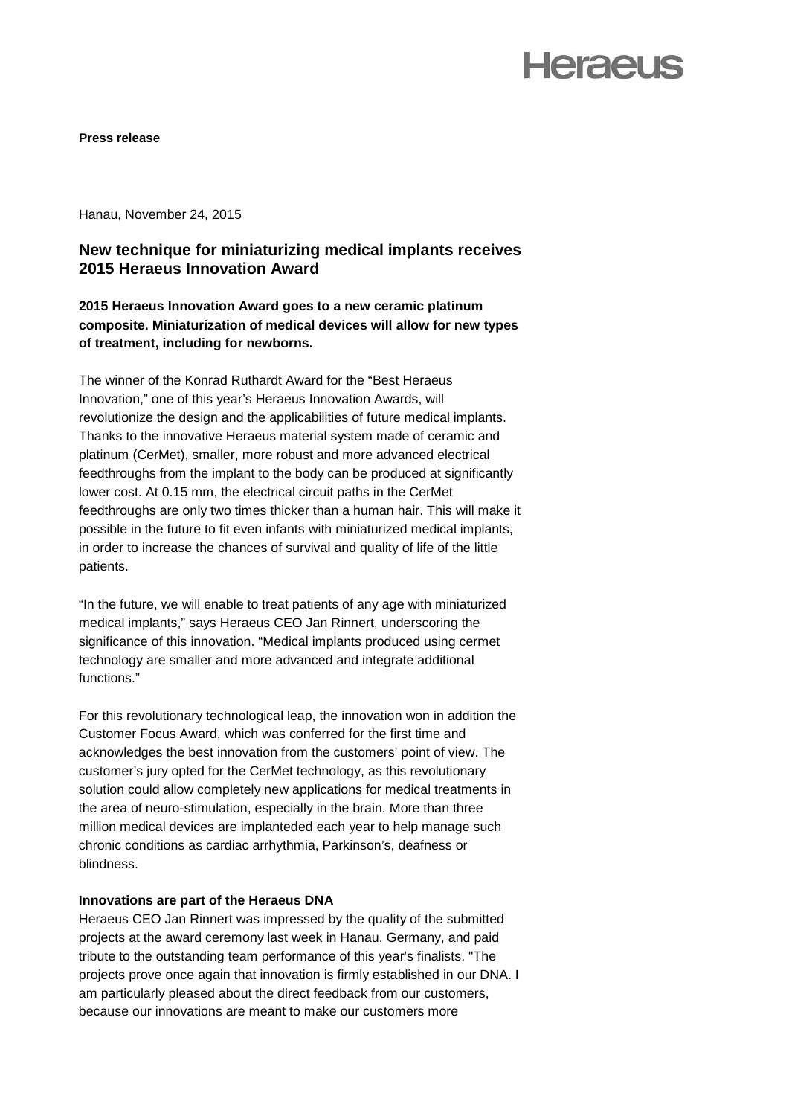## **Heraeus**

**Press release** 

Hanau, November 24, 2015

### **New technique for miniaturizing medical implants receives 2015 Heraeus Innovation Award**

**2015 Heraeus Innovation Award goes to a new ceramic platinum composite. Miniaturization of medical devices will allow for new types of treatment, including for newborns.**

The winner of the Konrad Ruthardt Award for the "Best Heraeus Innovation," one of this year's Heraeus Innovation Awards, will revolutionize the design and the applicabilities of future medical implants. Thanks to the innovative Heraeus material system made of ceramic and platinum (CerMet), smaller, more robust and more advanced electrical feedthroughs from the implant to the body can be produced at significantly lower cost. At 0.15 mm, the electrical circuit paths in the CerMet feedthroughs are only two times thicker than a human hair. This will make it possible in the future to fit even infants with miniaturized medical implants, in order to increase the chances of survival and quality of life of the little patients.

"In the future, we will enable to treat patients of any age with miniaturized medical implants," says Heraeus CEO Jan Rinnert, underscoring the significance of this innovation. "Medical implants produced using cermet technology are smaller and more advanced and integrate additional functions."

For this revolutionary technological leap, the innovation won in addition the Customer Focus Award, which was conferred for the first time and acknowledges the best innovation from the customers' point of view. The customer's jury opted for the CerMet technology, as this revolutionary solution could allow completely new applications for medical treatments in the area of neuro-stimulation, especially in the brain. More than three million medical devices are implanteded each year to help manage such chronic conditions as cardiac arrhythmia, Parkinson's, deafness or blindness.

### **Innovations are part of the Heraeus DNA**

Heraeus CEO Jan Rinnert was impressed by the quality of the submitted projects at the award ceremony last week in Hanau, Germany, and paid tribute to the outstanding team performance of this year's finalists. "The projects prove once again that innovation is firmly established in our DNA. I am particularly pleased about the direct feedback from our customers, because our innovations are meant to make our customers more